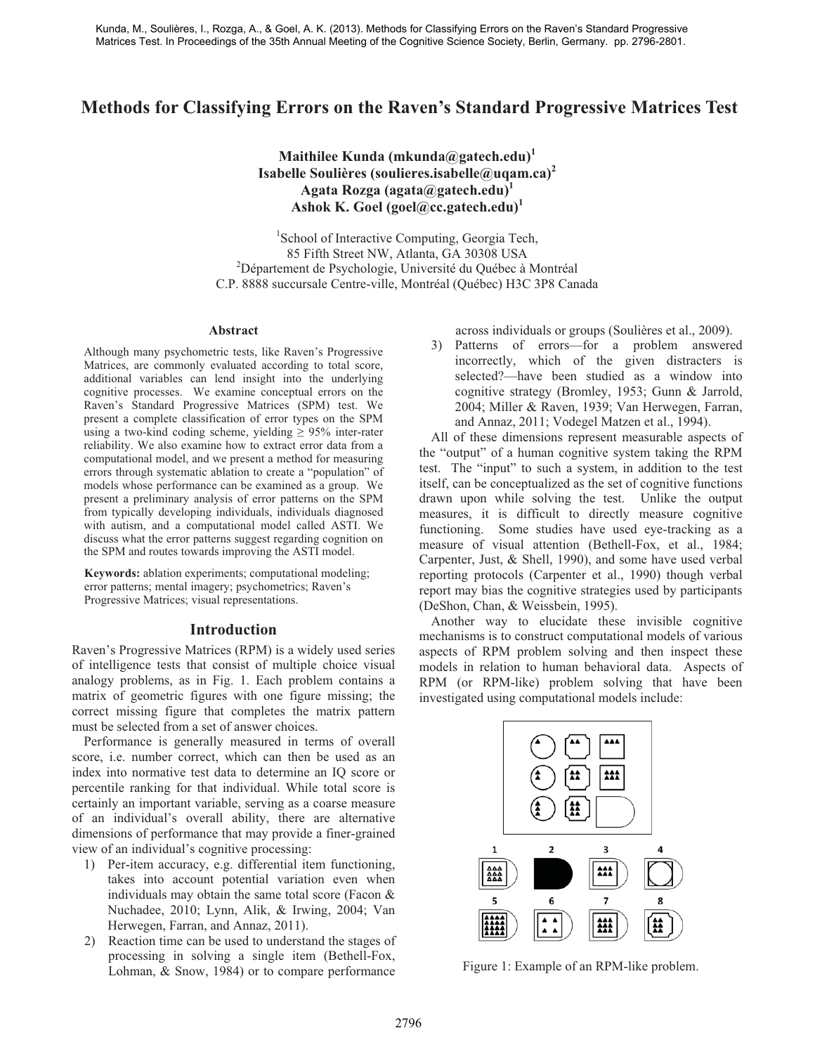# **Methods for Classifying Errors on the Raven's Standard Progressive Matrices Test**

**Maithilee Kunda (mkunda@gatech.edu)<sup>1</sup> Isabelle Soulières (soulieres.isabelle@uqam.ca)<sup>2</sup> Agata Rozga (agata@gatech.edu)1** Ashok K. Goel (goel@cc.gatech.edu)<sup>1</sup>

1 School of Interactive Computing, Georgia Tech, 85 Fifth Street NW, Atlanta, GA 30308 USA 2 <sup>2</sup>Département de Psychologie, Université du Québec à Montréal C.P. 8888 succursale Centre-ville, Montréal (Québec) H3C 3P8 Canada

#### **Abstract**

Although many psychometric tests, like Raven's Progressive Matrices, are commonly evaluated according to total score, additional variables can lend insight into the underlying cognitive processes. We examine conceptual errors on the Raven's Standard Progressive Matrices (SPM) test. We present a complete classification of error types on the SPM using a two-kind coding scheme, yielding  $\geq$  95% inter-rater reliability. We also examine how to extract error data from a computational model, and we present a method for measuring errors through systematic ablation to create a "population" of models whose performance can be examined as a group. We present a preliminary analysis of error patterns on the SPM from typically developing individuals, individuals diagnosed with autism, and a computational model called ASTI. We discuss what the error patterns suggest regarding cognition on the SPM and routes towards improving the ASTI model.

**Keywords:** ablation experiments; computational modeling; error patterns; mental imagery; psychometrics; Raven's Progressive Matrices; visual representations.

## **Introduction**

Raven's Progressive Matrices (RPM) is a widely used series of intelligence tests that consist of multiple choice visual analogy problems, as in Fig. 1. Each problem contains a matrix of geometric figures with one figure missing; the correct missing figure that completes the matrix pattern must be selected from a set of answer choices.

Performance is generally measured in terms of overall score, i.e. number correct, which can then be used as an index into normative test data to determine an IQ score or percentile ranking for that individual. While total score is certainly an important variable, serving as a coarse measure of an individual's overall ability, there are alternative dimensions of performance that may provide a finer-grained view of an individual's cognitive processing:

- 1) Per-item accuracy, e.g. differential item functioning, takes into account potential variation even when individuals may obtain the same total score (Facon & Nuchadee, 2010; Lynn, Alik, & Irwing, 2004; Van Herwegen, Farran, and Annaz, 2011).
- 2) Reaction time can be used to understand the stages of processing in solving a single item (Bethell-Fox, Lohman, & Snow, 1984) or to compare performance

across individuals or groups (Soulières et al., 2009).

3) Patterns of errors—for a problem answered incorrectly, which of the given distracters is selected?—have been studied as a window into cognitive strategy (Bromley, 1953; Gunn & Jarrold, 2004; Miller & Raven, 1939; Van Herwegen, Farran, and Annaz, 2011; Vodegel Matzen et al., 1994).

All of these dimensions represent measurable aspects of the "output" of a human cognitive system taking the RPM test. The "input" to such a system, in addition to the test itself, can be conceptualized as the set of cognitive functions drawn upon while solving the test. Unlike the output measures, it is difficult to directly measure cognitive functioning. Some studies have used eye-tracking as a measure of visual attention (Bethell-Fox, et al., 1984; Carpenter, Just, & Shell, 1990), and some have used verbal reporting protocols (Carpenter et al., 1990) though verbal report may bias the cognitive strategies used by participants (DeShon, Chan, & Weissbein, 1995).

Another way to elucidate these invisible cognitive mechanisms is to construct computational models of various aspects of RPM problem solving and then inspect these models in relation to human behavioral data. Aspects of RPM (or RPM-like) problem solving that have been investigated using computational models include:



Figure 1: Example of an RPM-like problem.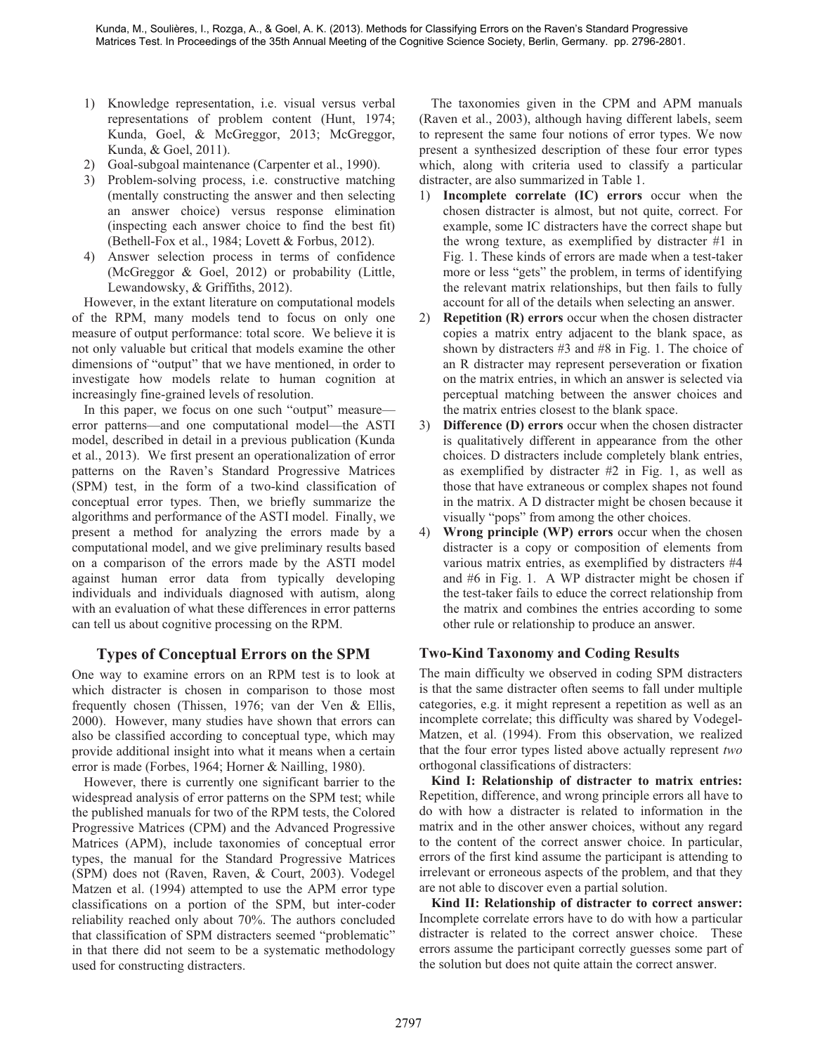- 1) Knowledge representation, i.e. visual versus verbal representations of problem content (Hunt, 1974; Kunda, Goel, & McGreggor, 2013; McGreggor, Kunda, & Goel, 2011).
- 2) Goal-subgoal maintenance (Carpenter et al., 1990).
- 3) Problem-solving process, i.e. constructive matching (mentally constructing the answer and then selecting an answer choice) versus response elimination (inspecting each answer choice to find the best fit) (Bethell-Fox et al., 1984; Lovett & Forbus, 2012).
- 4) Answer selection process in terms of confidence (McGreggor & Goel, 2012) or probability (Little, Lewandowsky, & Griffiths, 2012).

However, in the extant literature on computational models of the RPM, many models tend to focus on only one measure of output performance: total score. We believe it is not only valuable but critical that models examine the other dimensions of "output" that we have mentioned, in order to investigate how models relate to human cognition at increasingly fine-grained levels of resolution.

In this paper, we focus on one such "output" measure error patterns—and one computational model—the ASTI model, described in detail in a previous publication (Kunda et al., 2013). We first present an operationalization of error patterns on the Raven's Standard Progressive Matrices (SPM) test, in the form of a two-kind classification of conceptual error types. Then, we briefly summarize the algorithms and performance of the ASTI model. Finally, we present a method for analyzing the errors made by a computational model, and we give preliminary results based on a comparison of the errors made by the ASTI model against human error data from typically developing individuals and individuals diagnosed with autism, along with an evaluation of what these differences in error patterns can tell us about cognitive processing on the RPM.

## **Types of Conceptual Errors on the SPM**

One way to examine errors on an RPM test is to look at which distracter is chosen in comparison to those most frequently chosen (Thissen, 1976; van der Ven & Ellis, 2000). However, many studies have shown that errors can also be classified according to conceptual type, which may provide additional insight into what it means when a certain error is made (Forbes, 1964; Horner & Nailling, 1980).

However, there is currently one significant barrier to the widespread analysis of error patterns on the SPM test; while the published manuals for two of the RPM tests, the Colored Progressive Matrices (CPM) and the Advanced Progressive Matrices (APM), include taxonomies of conceptual error types, the manual for the Standard Progressive Matrices (SPM) does not (Raven, Raven, & Court, 2003). Vodegel Matzen et al. (1994) attempted to use the APM error type classifications on a portion of the SPM, but inter-coder reliability reached only about 70%. The authors concluded that classification of SPM distracters seemed "problematic" in that there did not seem to be a systematic methodology used for constructing distracters.

The taxonomies given in the CPM and APM manuals (Raven et al., 2003), although having different labels, seem to represent the same four notions of error types. We now present a synthesized description of these four error types which, along with criteria used to classify a particular distracter, are also summarized in Table 1.

- 1) **Incomplete correlate (IC) errors** occur when the chosen distracter is almost, but not quite, correct. For example, some IC distracters have the correct shape but the wrong texture, as exemplified by distracter #1 in Fig. 1. These kinds of errors are made when a test-taker more or less "gets" the problem, in terms of identifying the relevant matrix relationships, but then fails to fully account for all of the details when selecting an answer.
- 2) **Repetition (R) errors** occur when the chosen distracter copies a matrix entry adjacent to the blank space, as shown by distracters #3 and #8 in Fig. 1. The choice of an R distracter may represent perseveration or fixation on the matrix entries, in which an answer is selected via perceptual matching between the answer choices and the matrix entries closest to the blank space.
- 3) **Difference (D) errors** occur when the chosen distracter is qualitatively different in appearance from the other choices. D distracters include completely blank entries, as exemplified by distracter #2 in Fig. 1, as well as those that have extraneous or complex shapes not found in the matrix. A D distracter might be chosen because it visually "pops" from among the other choices.
- 4) **Wrong principle (WP) errors** occur when the chosen distracter is a copy or composition of elements from various matrix entries, as exemplified by distracters #4 and #6 in Fig. 1. A WP distracter might be chosen if the test-taker fails to educe the correct relationship from the matrix and combines the entries according to some other rule or relationship to produce an answer.

## **Two-Kind Taxonomy and Coding Results**

The main difficulty we observed in coding SPM distracters is that the same distracter often seems to fall under multiple categories, e.g. it might represent a repetition as well as an incomplete correlate; this difficulty was shared by Vodegel-Matzen, et al. (1994). From this observation, we realized that the four error types listed above actually represent *two*  orthogonal classifications of distracters:

**Kind I: Relationship of distracter to matrix entries:** Repetition, difference, and wrong principle errors all have to do with how a distracter is related to information in the matrix and in the other answer choices, without any regard to the content of the correct answer choice. In particular, errors of the first kind assume the participant is attending to irrelevant or erroneous aspects of the problem, and that they are not able to discover even a partial solution.

**Kind II: Relationship of distracter to correct answer:**  Incomplete correlate errors have to do with how a particular distracter is related to the correct answer choice. These errors assume the participant correctly guesses some part of the solution but does not quite attain the correct answer.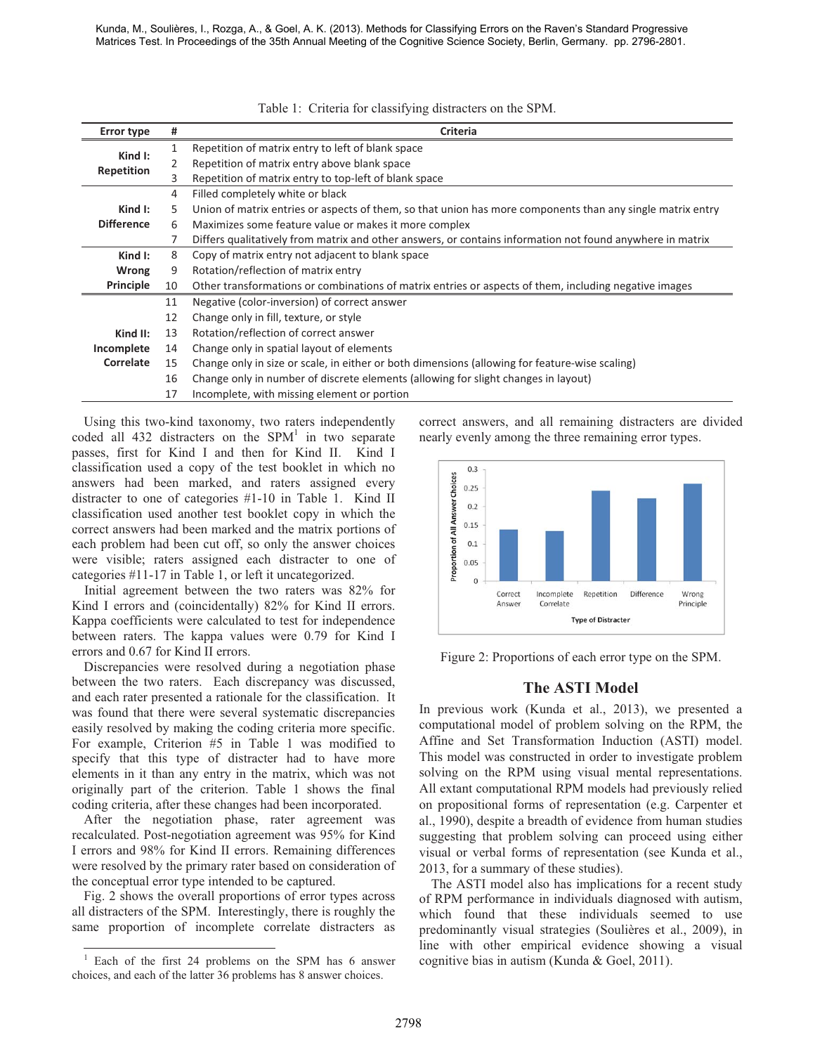Kunda, M., Soulières, I., Rozga, A., & Goel, A. K. (2013). Methods for Classifying Errors on the Raven's Standard Progressive Matrices Test. In Proceedings of the 35th Annual Meeting of the Cognitive Science Society, Berlin, Germany. pp. 2796-2801.

| <b>Error type</b>                                       | #                                                                                                           | Criteria                                                                                                   |  |  |  |
|---------------------------------------------------------|-------------------------------------------------------------------------------------------------------------|------------------------------------------------------------------------------------------------------------|--|--|--|
|                                                         | 1                                                                                                           | Repetition of matrix entry to left of blank space                                                          |  |  |  |
| Kind $\mathsf{I}$ :                                     | 2                                                                                                           | Repetition of matrix entry above blank space                                                               |  |  |  |
| Repetition                                              | 3                                                                                                           | Repetition of matrix entry to top-left of blank space                                                      |  |  |  |
|                                                         | 4                                                                                                           | Filled completely white or black                                                                           |  |  |  |
| Kind $\mathsf{I}$ :                                     | 5                                                                                                           | Union of matrix entries or aspects of them, so that union has more components than any single matrix entry |  |  |  |
| <b>Difference</b>                                       | Maximizes some feature value or makes it more complex                                                       |                                                                                                            |  |  |  |
|                                                         |                                                                                                             | Differs qualitatively from matrix and other answers, or contains information not found anywhere in matrix  |  |  |  |
| Kind I:                                                 | 8                                                                                                           | Copy of matrix entry not adjacent to blank space                                                           |  |  |  |
| <b>Wrong</b>                                            | 9                                                                                                           | Rotation/reflection of matrix entry                                                                        |  |  |  |
| Principle                                               | Other transformations or combinations of matrix entries or aspects of them, including negative images<br>10 |                                                                                                            |  |  |  |
|                                                         | 11                                                                                                          | Negative (color-inversion) of correct answer                                                               |  |  |  |
|                                                         | 12                                                                                                          | Change only in fill, texture, or style                                                                     |  |  |  |
| Rotation/reflection of correct answer<br>Kind II:<br>13 |                                                                                                             |                                                                                                            |  |  |  |
| Incomplete                                              | Change only in spatial layout of elements<br>14                                                             |                                                                                                            |  |  |  |
| Correlate                                               | 15                                                                                                          | Change only in size or scale, in either or both dimensions (allowing for feature-wise scaling)             |  |  |  |
|                                                         | 16                                                                                                          | Change only in number of discrete elements (allowing for slight changes in layout)                         |  |  |  |
|                                                         | Incomplete, with missing element or portion                                                                 |                                                                                                            |  |  |  |

Table 1: Criteria for classifying distracters on the SPM.

Using this two-kind taxonomy, two raters independently coded all  $432$  distracters on the SPM<sup>1</sup> in two separate passes, first for Kind I and then for Kind II. Kind I classification used a copy of the test booklet in which no answers had been marked, and raters assigned every distracter to one of categories #1-10 in Table 1. Kind II classification used another test booklet copy in which the correct answers had been marked and the matrix portions of each problem had been cut off, so only the answer choices were visible; raters assigned each distracter to one of categories #11-17 in Table 1, or left it uncategorized.

Initial agreement between the two raters was 82% for Kind I errors and (coincidentally) 82% for Kind II errors. Kappa coefficients were calculated to test for independence between raters. The kappa values were 0.79 for Kind I errors and 0.67 for Kind II errors.

Discrepancies were resolved during a negotiation phase between the two raters. Each discrepancy was discussed, and each rater presented a rationale for the classification. It was found that there were several systematic discrepancies easily resolved by making the coding criteria more specific. For example, Criterion #5 in Table 1 was modified to specify that this type of distracter had to have more elements in it than any entry in the matrix, which was not originally part of the criterion. Table 1 shows the final coding criteria, after these changes had been incorporated.

After the negotiation phase, rater agreement was recalculated. Post-negotiation agreement was 95% for Kind I errors and 98% for Kind II errors. Remaining differences were resolved by the primary rater based on consideration of the conceptual error type intended to be captured.

Fig. 2 shows the overall proportions of error types across all distracters of the SPM. Interestingly, there is roughly the same proportion of incomplete correlate distracters as correct answers, and all remaining distracters are divided nearly evenly among the three remaining error types.



Figure 2: Proportions of each error type on the SPM.

## **The ASTI Model**

In previous work (Kunda et al., 2013), we presented a computational model of problem solving on the RPM, the Affine and Set Transformation Induction (ASTI) model. This model was constructed in order to investigate problem solving on the RPM using visual mental representations. All extant computational RPM models had previously relied on propositional forms of representation (e.g. Carpenter et al., 1990), despite a breadth of evidence from human studies suggesting that problem solving can proceed using either visual or verbal forms of representation (see Kunda et al., 2013, for a summary of these studies).

The ASTI model also has implications for a recent study of RPM performance in individuals diagnosed with autism, which found that these individuals seemed to use predominantly visual strategies (Soulières et al., 2009), in line with other empirical evidence showing a visual cognitive bias in autism (Kunda & Goel, 2011).

 1 Each of the first 24 problems on the SPM has 6 answer choices, and each of the latter 36 problems has 8 answer choices.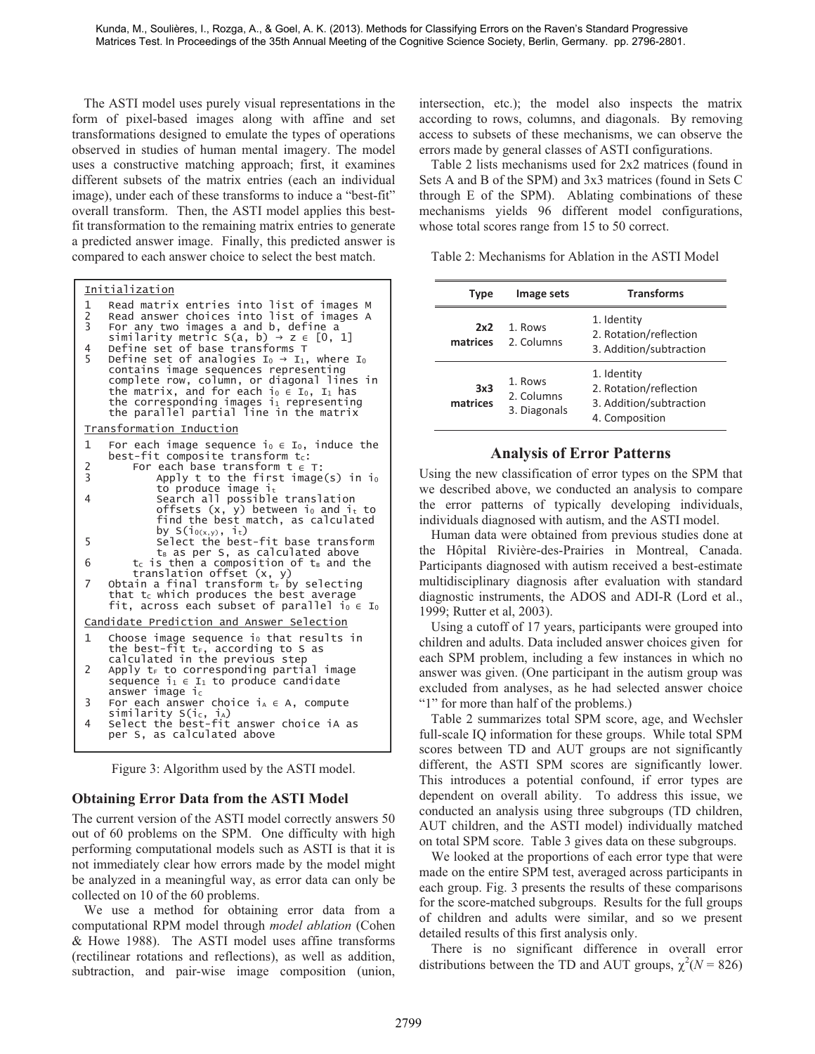The ASTI model uses purely visual representations in the form of pixel-based images along with affine and set transformations designed to emulate the types of operations observed in studies of human mental imagery. The model uses a constructive matching approach; first, it examines different subsets of the matrix entries (each an individual image), under each of these transforms to induce a "best-fit" overall transform. Then, the ASTI model applies this bestfit transformation to the remaining matrix entries to generate a predicted answer image. Finally, this predicted answer is compared to each answer choice to select the best match.

|                | <b>Initialization</b>                                                                                                                                                                                                                                                                                         |
|----------------|---------------------------------------------------------------------------------------------------------------------------------------------------------------------------------------------------------------------------------------------------------------------------------------------------------------|
| $\frac{1}{2}$  | Read matrix entries into list of images M<br>Read answer choices into list of images A<br>For any two images a and b, define a                                                                                                                                                                                |
| 4              | similarity metric S(a, b) $\rightarrow$ z $\in$ [0, 1]<br>Define set of base transforms T                                                                                                                                                                                                                     |
| 5              | Define set of analogies $I_0 \rightarrow I_1$ , where $I_0$<br>contains image sequences representing<br>complete row, column, or diagonal lines in<br>the matrix, and for each io $\epsilon$ Io, I <sub>1</sub> has<br>the corresponding images $i_1$ representing<br>the parallel partial line in the matrix |
|                | Transformation Induction                                                                                                                                                                                                                                                                                      |
| $\mathbf{1}$   | For each image sequence i <sub>0</sub> $\in$ I <sub>0</sub> , induce the<br>best-fit composite transform tc:                                                                                                                                                                                                  |
| $\frac{2}{3}$  | For each base transform $t \in T$ :<br>Apply t to the first image(s) in io                                                                                                                                                                                                                                    |
| 4              | to produce image $it$<br>Search all possible translation                                                                                                                                                                                                                                                      |
|                | offsets (x, y) between io and it to<br>find the best match, as calculated<br>by S( $i_{0(x,y)}$ , $i_t$ )                                                                                                                                                                                                     |
| 5              | Select the best-fit base transform                                                                                                                                                                                                                                                                            |
| 6              | t <sub>B</sub> as per S, as calculated above<br>$t_c$ is then a composition of $t_B$ and the                                                                                                                                                                                                                  |
| 7              | translation offset $(x, y)$<br>Obtain a final transform $t_F$ by selecting                                                                                                                                                                                                                                    |
|                | that $t_c$ which produces the best average<br>fit, across each subset of parallel $i_0 \in I_0$                                                                                                                                                                                                               |
|                | Candidate Prediction and Answer Selection                                                                                                                                                                                                                                                                     |
| $\mathbf{1}$   | Choose image sequence $i_0$ that results in<br>the best-fit tr, according to S as                                                                                                                                                                                                                             |
| $\overline{2}$ | calculated in the previous step<br>Apply $t_F$ to corresponding partial image                                                                                                                                                                                                                                 |
|                | sequence $i_1 \in I_1$ to produce candidate<br>answer image $i_c$                                                                                                                                                                                                                                             |
| 3              | For each answer choice $i_A \in A$ , compute                                                                                                                                                                                                                                                                  |
| 4              | similarity S(ic, iA)<br>Select the best-fit answer choice iA as                                                                                                                                                                                                                                               |
|                | per S. as calculated above                                                                                                                                                                                                                                                                                    |

Figure 3: Algorithm used by the ASTI model.

#### **Obtaining Error Data from the ASTI Model**

The current version of the ASTI model correctly answers 50 out of 60 problems on the SPM. One difficulty with high performing computational models such as ASTI is that it is not immediately clear how errors made by the model might be analyzed in a meaningful way, as error data can only be collected on 10 of the 60 problems.

We use a method for obtaining error data from a computational RPM model through *model ablation* (Cohen & Howe 1988). The ASTI model uses affine transforms (rectilinear rotations and reflections), as well as addition, subtraction, and pair-wise image composition (union, intersection, etc.); the model also inspects the matrix according to rows, columns, and diagonals. By removing access to subsets of these mechanisms, we can observe the errors made by general classes of ASTI configurations.

Table 2 lists mechanisms used for 2x2 matrices (found in Sets A and B of the SPM) and 3x3 matrices (found in Sets C through E of the SPM). Ablating combinations of these mechanisms yields 96 different model configurations, whose total scores range from 15 to 50 correct.

Table 2: Mechanisms for Ablation in the ASTI Model

| <b>Type</b>     | Image sets                            | <b>Transforms</b>                                                                  |  |  |
|-----------------|---------------------------------------|------------------------------------------------------------------------------------|--|--|
| 2x2<br>matrices | 1. Rows<br>2. Columns                 | 1. Identity<br>2. Rotation/reflection<br>3. Addition/subtraction                   |  |  |
| 3x3<br>matrices | 1. Rows<br>2. Columns<br>3. Diagonals | 1. Identity<br>2. Rotation/reflection<br>3. Addition/subtraction<br>4. Composition |  |  |

## **Analysis of Error Patterns**

Using the new classification of error types on the SPM that we described above, we conducted an analysis to compare the error patterns of typically developing individuals, individuals diagnosed with autism, and the ASTI model.

Human data were obtained from previous studies done at the Hôpital Rivière-des-Prairies in Montreal, Canada. Participants diagnosed with autism received a best-estimate multidisciplinary diagnosis after evaluation with standard diagnostic instruments, the ADOS and ADI-R (Lord et al., 1999; Rutter et al, 2003).

Using a cutoff of 17 years, participants were grouped into children and adults. Data included answer choices given for each SPM problem, including a few instances in which no answer was given. (One participant in the autism group was excluded from analyses, as he had selected answer choice "1" for more than half of the problems.)

Table 2 summarizes total SPM score, age, and Wechsler full-scale IQ information for these groups. While total SPM scores between TD and AUT groups are not significantly different, the ASTI SPM scores are significantly lower. This introduces a potential confound, if error types are dependent on overall ability. To address this issue, we conducted an analysis using three subgroups (TD children, AUT children, and the ASTI model) individually matched on total SPM score. Table 3 gives data on these subgroups.

We looked at the proportions of each error type that were made on the entire SPM test, averaged across participants in each group. Fig. 3 presents the results of these comparisons for the score-matched subgroups. Results for the full groups of children and adults were similar, and so we present detailed results of this first analysis only.

There is no significant difference in overall error distributions between the TD and AUT groups,  $\chi^2(N = 826)$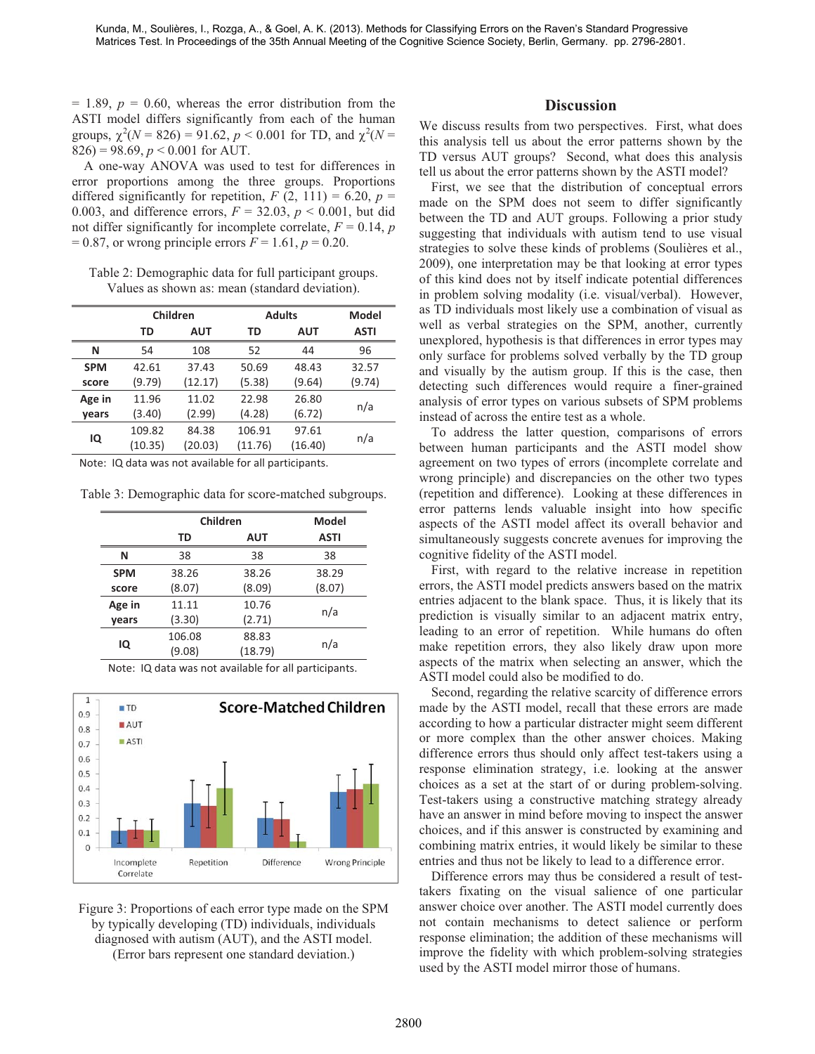$= 1.89, p = 0.60$ , whereas the error distribution from the ASTI model differs significantly from each of the human groups,  $\chi^2(N = 826) = 91.62$ ,  $p < 0.001$  for TD, and  $\chi^2(N = 1)$  $826$ ) = 98.69,  $p < 0.001$  for AUT.

A one-way ANOVA was used to test for differences in error proportions among the three groups. Proportions differed significantly for repetition,  $F(2, 111) = 6.20$ ,  $p =$ 0.003, and difference errors,  $F = 32.03$ ,  $p < 0.001$ , but did not differ significantly for incomplete correlate,  $F = 0.14$ , *p*  $= 0.87$ , or wrong principle errors  $F = 1.61$ ,  $p = 0.20$ .

Table 2: Demographic data for full participant groups. Values as shown as: mean (standard deviation).

|            | Children |            | <b>Adults</b> |            | <b>Model</b> |
|------------|----------|------------|---------------|------------|--------------|
|            | TD       | <b>AUT</b> | TD            | <b>AUT</b> | <b>ASTI</b>  |
| N          | 54       | 108        | 52            | 44         | 96           |
| <b>SPM</b> | 42.61    | 37.43      | 50.69         | 48.43      | 32.57        |
| score      | (9.79)   | (12.17)    | (5.38)        | (9.64)     | (9.74)       |
| Age in     | 11.96    | 11.02      | 22.98         | 26.80      | n/a          |
| vears      | (3.40)   | (2.99)     | (4.28)        | (6.72)     |              |
| IQ         | 109.82   | 84.38      | 106.91        | 97.61      | n/a          |
|            | (10.35)  | (20.03)    | (11.76)       | (16.40)    |              |

Note: IQ data was not available for all participants.

Table 3: Demographic data for score-matched subgroups.

|            | Children  | Model   |             |
|------------|-----------|---------|-------------|
|            | <b>TD</b> | AUT     | <b>ASTI</b> |
| N          | 38        | 38      | 38          |
| <b>SPM</b> | 38.26     | 38.26   | 38.29       |
| score      | (8.07)    | (8.09)  | (8.07)      |
| Age in     | 11.11     | 10.76   | n/a         |
| vears      | (3.30)    | (2.71)  |             |
| IQ         | 106.08    | 88.83   | n/a         |
|            | (9.08)    | (18.79) |             |

Note: IQ data was not available for all participants.



Figure 3: Proportions of each error type made on the SPM by typically developing (TD) individuals, individuals diagnosed with autism (AUT), and the ASTI model. (Error bars represent one standard deviation.)

#### **Discussion**

We discuss results from two perspectives. First, what does this analysis tell us about the error patterns shown by the TD versus AUT groups? Second, what does this analysis tell us about the error patterns shown by the ASTI model?

First, we see that the distribution of conceptual errors made on the SPM does not seem to differ significantly between the TD and AUT groups. Following a prior study suggesting that individuals with autism tend to use visual strategies to solve these kinds of problems (Soulières et al., 2009), one interpretation may be that looking at error types of this kind does not by itself indicate potential differences in problem solving modality (i.e. visual/verbal). However, as TD individuals most likely use a combination of visual as well as verbal strategies on the SPM, another, currently unexplored, hypothesis is that differences in error types may only surface for problems solved verbally by the TD group and visually by the autism group. If this is the case, then detecting such differences would require a finer-grained analysis of error types on various subsets of SPM problems instead of across the entire test as a whole.

To address the latter question, comparisons of errors between human participants and the ASTI model show agreement on two types of errors (incomplete correlate and wrong principle) and discrepancies on the other two types (repetition and difference). Looking at these differences in error patterns lends valuable insight into how specific aspects of the ASTI model affect its overall behavior and simultaneously suggests concrete avenues for improving the cognitive fidelity of the ASTI model.

First, with regard to the relative increase in repetition errors, the ASTI model predicts answers based on the matrix entries adjacent to the blank space. Thus, it is likely that its prediction is visually similar to an adjacent matrix entry, leading to an error of repetition. While humans do often make repetition errors, they also likely draw upon more aspects of the matrix when selecting an answer, which the ASTI model could also be modified to do.

Second, regarding the relative scarcity of difference errors made by the ASTI model, recall that these errors are made according to how a particular distracter might seem different or more complex than the other answer choices. Making difference errors thus should only affect test-takers using a response elimination strategy, i.e. looking at the answer choices as a set at the start of or during problem-solving. Test-takers using a constructive matching strategy already have an answer in mind before moving to inspect the answer choices, and if this answer is constructed by examining and combining matrix entries, it would likely be similar to these entries and thus not be likely to lead to a difference error.

Difference errors may thus be considered a result of testtakers fixating on the visual salience of one particular answer choice over another. The ASTI model currently does not contain mechanisms to detect salience or perform response elimination; the addition of these mechanisms will improve the fidelity with which problem-solving strategies used by the ASTI model mirror those of humans.